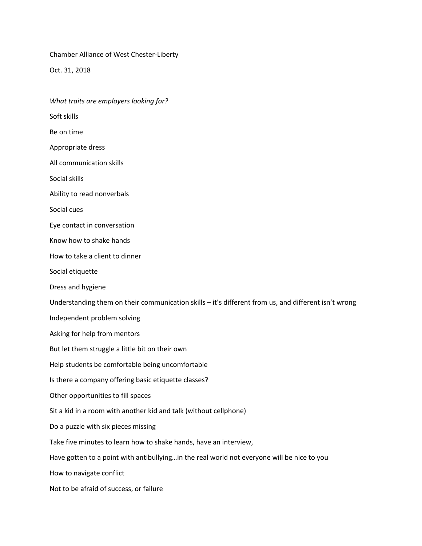Chamber Alliance of West Chester-Liberty

Oct. 31, 2018

*What traits are employers looking for?*

Soft skills

Be on time

Appropriate dress

All communication skills

Social skills

Ability to read nonverbals

Social cues

Eye contact in conversation

Know how to shake hands

How to take a client to dinner

Social etiquette

Dress and hygiene

Understanding them on their communication skills – it's different from us, and different isn't wrong

Independent problem solving

Asking for help from mentors

But let them struggle a little bit on their own

Help students be comfortable being uncomfortable

Is there a company offering basic etiquette classes?

Other opportunities to fill spaces

Sit a kid in a room with another kid and talk (without cellphone)

Do a puzzle with six pieces missing

Take five minutes to learn how to shake hands, have an interview,

Have gotten to a point with antibullying…in the real world not everyone will be nice to you

How to navigate conflict

Not to be afraid of success, or failure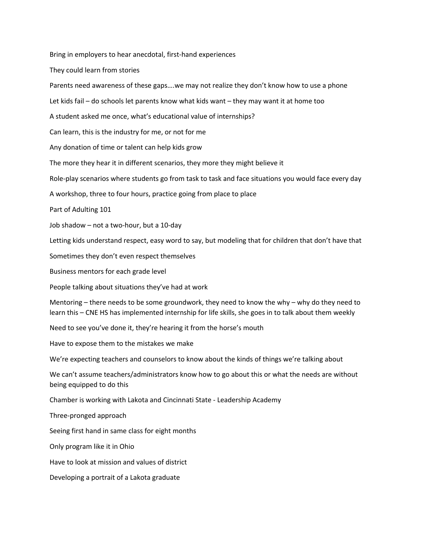Bring in employers to hear anecdotal, first-hand experiences

They could learn from stories

Parents need awareness of these gaps….we may not realize they don't know how to use a phone

Let kids fail – do schools let parents know what kids want – they may want it at home too

A student asked me once, what's educational value of internships?

Can learn, this is the industry for me, or not for me

Any donation of time or talent can help kids grow

The more they hear it in different scenarios, they more they might believe it

Role-play scenarios where students go from task to task and face situations you would face every day

A workshop, three to four hours, practice going from place to place

Part of Adulting 101

Job shadow – not a two-hour, but a 10-day

Letting kids understand respect, easy word to say, but modeling that for children that don't have that

Sometimes they don't even respect themselves

Business mentors for each grade level

People talking about situations they've had at work

Mentoring – there needs to be some groundwork, they need to know the why – why do they need to learn this – CNE HS has implemented internship for life skills, she goes in to talk about them weekly

Need to see you've done it, they're hearing it from the horse's mouth

Have to expose them to the mistakes we make

We're expecting teachers and counselors to know about the kinds of things we're talking about

We can't assume teachers/administrators know how to go about this or what the needs are without being equipped to do this

Chamber is working with Lakota and Cincinnati State - Leadership Academy

Three-pronged approach

Seeing first hand in same class for eight months

Only program like it in Ohio

Have to look at mission and values of district

Developing a portrait of a Lakota graduate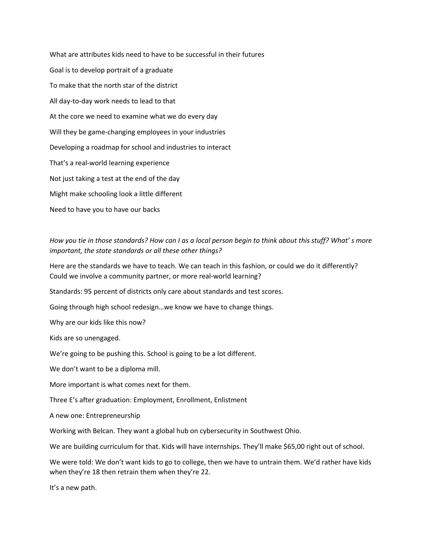What are attributes kids need to have to be successful in their futures Goal is to develop portrait of a graduate To make that the north star of the district All day-to-day work needs to lead to that At the core we need to examine what we do every day Will they be game-changing employees in your industries Developing a roadmap for school and industries to interact That's a real-world learning experience Not just taking a test at the end of the day Might make schooling look a little different Need to have you to have our backs

*How you tie in those standards? How can I as a local person begin to think about this stuff? What' s more important, the state standards or all these other things?*

Here are the standards we have to teach. We can teach in this fashion, or could we do it differently? Could we involve a community partner, or more real-world learning?

Standards: 95 percent of districts only care about standards and test scores.

Going through high school redesign…we know we have to change things.

Why are our kids like this now?

Kids are so unengaged.

We're going to be pushing this. School is going to be a lot different.

We don't want to be a diploma mill.

More important is what comes next for them.

Three E's after graduation: Employment, Enrollment, Enlistment

A new one: Entrepreneurship

Working with Belcan. They want a global hub on cybersecurity in Southwest Ohio.

We are building curriculum for that. Kids will have internships. They'll make \$65,00 right out of school.

We were told: We don't want kids to go to college, then we have to untrain them. We'd rather have kids when they're 18 then retrain them when they're 22.

It's a new path.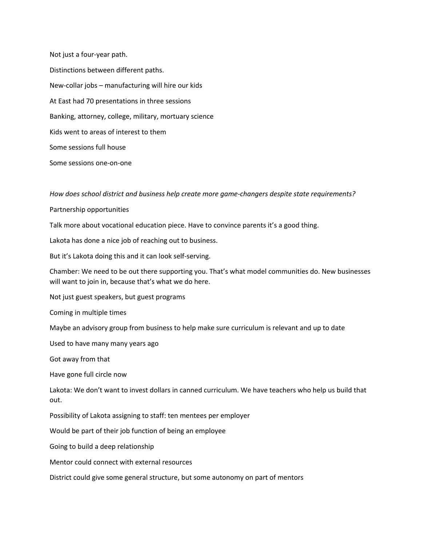Not just a four-year path. Distinctions between different paths. New-collar jobs – manufacturing will hire our kids At East had 70 presentations in three sessions Banking, attorney, college, military, mortuary science Kids went to areas of interest to them Some sessions full house Some sessions one-on-one

*How does school district and business help create more game-changers despite state requirements?*

Partnership opportunities

Talk more about vocational education piece. Have to convince parents it's a good thing.

Lakota has done a nice job of reaching out to business.

But it's Lakota doing this and it can look self-serving.

Chamber: We need to be out there supporting you. That's what model communities do. New businesses will want to join in, because that's what we do here.

Not just guest speakers, but guest programs

Coming in multiple times

Maybe an advisory group from business to help make sure curriculum is relevant and up to date

Used to have many many years ago

Got away from that

Have gone full circle now

Lakota: We don't want to invest dollars in canned curriculum. We have teachers who help us build that out.

Possibility of Lakota assigning to staff: ten mentees per employer

Would be part of their job function of being an employee

Going to build a deep relationship

Mentor could connect with external resources

District could give some general structure, but some autonomy on part of mentors